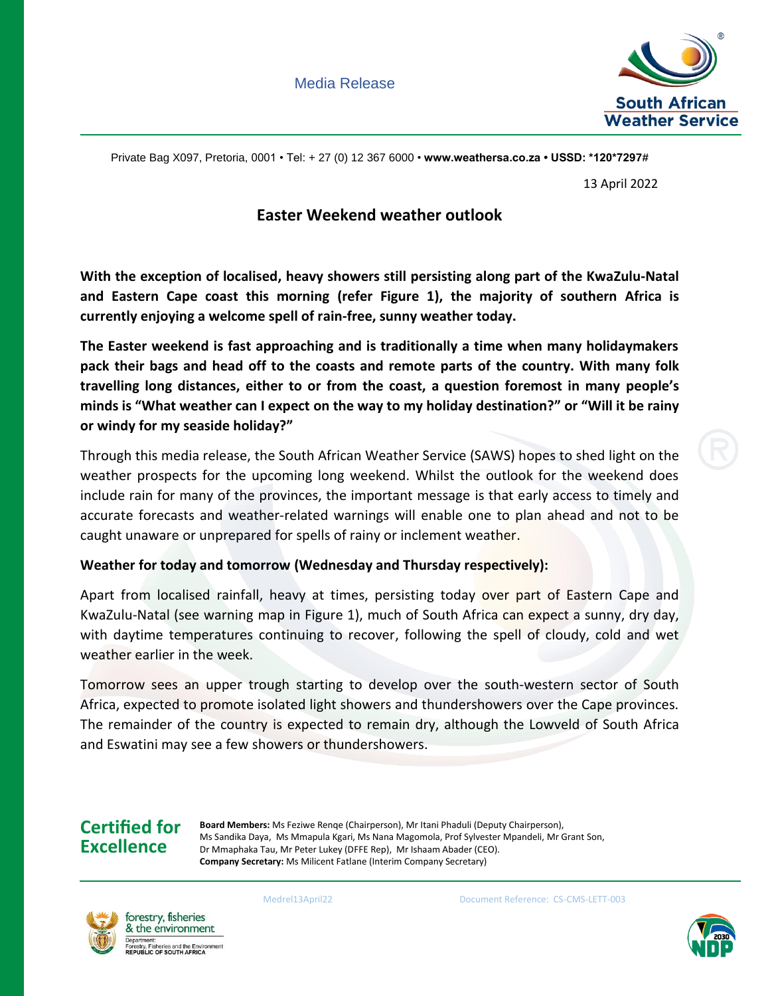

Private Bag X097, Pretoria, 0001 • Tel: + 27 (0) 12 367 6000 • **www.weathersa.co.za • USSD: \*120\*7297#**

13 April 2022

## **Easter Weekend weather outlook**

**With the exception of localised, heavy showers still persisting along part of the KwaZulu-Natal and Eastern Cape coast this morning (refer Figure 1), the majority of southern Africa is currently enjoying a welcome spell of rain-free, sunny weather today.**

**The Easter weekend is fast approaching and is traditionally a time when many holidaymakers pack their bags and head off to the coasts and remote parts of the country. With many folk travelling long distances, either to or from the coast, a question foremost in many people's minds is "What weather can I expect on the way to my holiday destination?" or "Will it be rainy or windy for my seaside holiday?"**

Through this media release, the South African Weather Service (SAWS) hopes to shed light on the weather prospects for the upcoming long weekend. Whilst the outlook for the weekend does include rain for many of the provinces, the important message is that early access to timely and accurate forecasts and weather-related warnings will enable one to plan ahead and not to be caught unaware or unprepared for spells of rainy or inclement weather.

## **Weather for today and tomorrow (Wednesday and Thursday respectively):**

Apart from localised rainfall, heavy at times, persisting today over part of Eastern Cape and KwaZulu-Natal (see warning map in Figure 1), much of South Africa can expect a sunny, dry day, with daytime temperatures continuing to recover, following the spell of cloudy, cold and wet weather earlier in the week.

Tomorrow sees an upper trough starting to develop over the south-western sector of South Africa, expected to promote isolated light showers and thundershowers over the Cape provinces. The remainder of the country is expected to remain dry, although the Lowveld of South Africa and Eswatini may see a few showers or thundershowers.

## **Certified for Excellence**

**Board Members:** Ms Feziwe Renqe (Chairperson), Mr Itani Phaduli (Deputy Chairperson), Ms Sandika Daya, Ms Mmapula Kgari, Ms Nana Magomola, Prof Sylvester Mpandeli, Mr Grant Son, Dr Mmaphaka Tau, Mr Peter Lukey (DFFE Rep), Mr Ishaam Abader (CEO). **Company Secretary:** Ms Milicent Fatlane (Interim Company Secretary)





Medrel13April22 Document Reference: CS-CMS-LETT-003

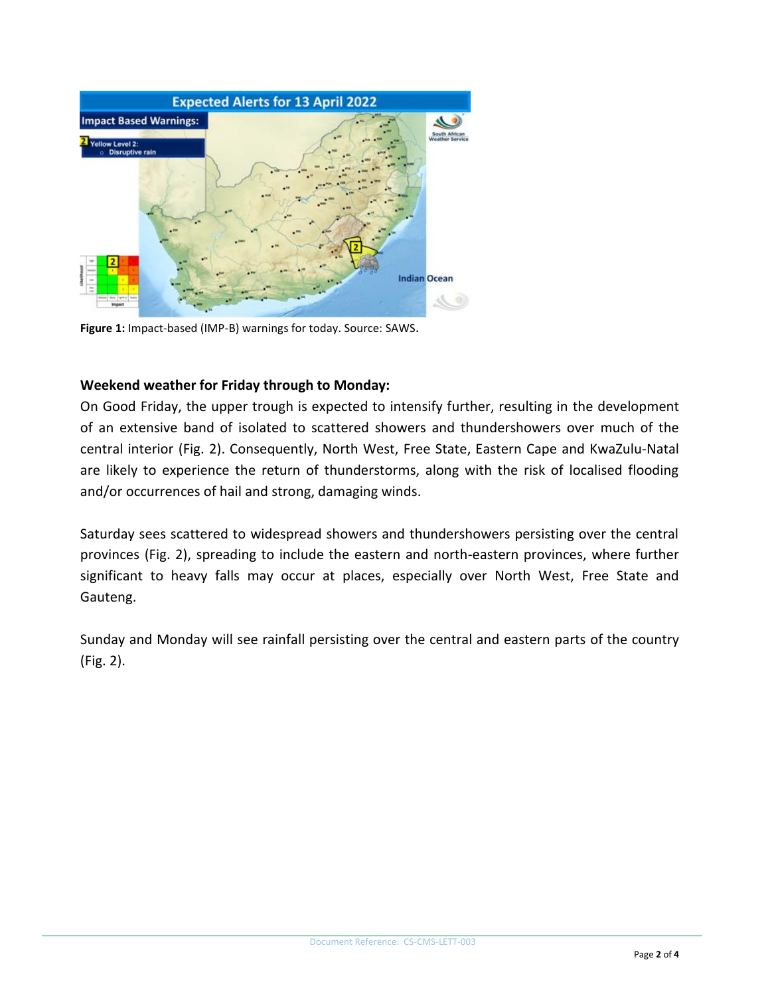

**Figure 1:** Impact-based (IMP-B) warnings for today. Source: SAWS.

## **Weekend weather for Friday through to Monday:**

On Good Friday, the upper trough is expected to intensify further, resulting in the development of an extensive band of isolated to scattered showers and thundershowers over much of the central interior (Fig. 2). Consequently, North West, Free State, Eastern Cape and KwaZulu-Natal are likely to experience the return of thunderstorms, along with the risk of localised flooding and/or occurrences of hail and strong, damaging winds.

Saturday sees scattered to widespread showers and thundershowers persisting over the central provinces (Fig. 2), spreading to include the eastern and north-eastern provinces, where further significant to heavy falls may occur at places, especially over North West, Free State and Gauteng.

Sunday and Monday will see rainfall persisting over the central and eastern parts of the country (Fig. 2).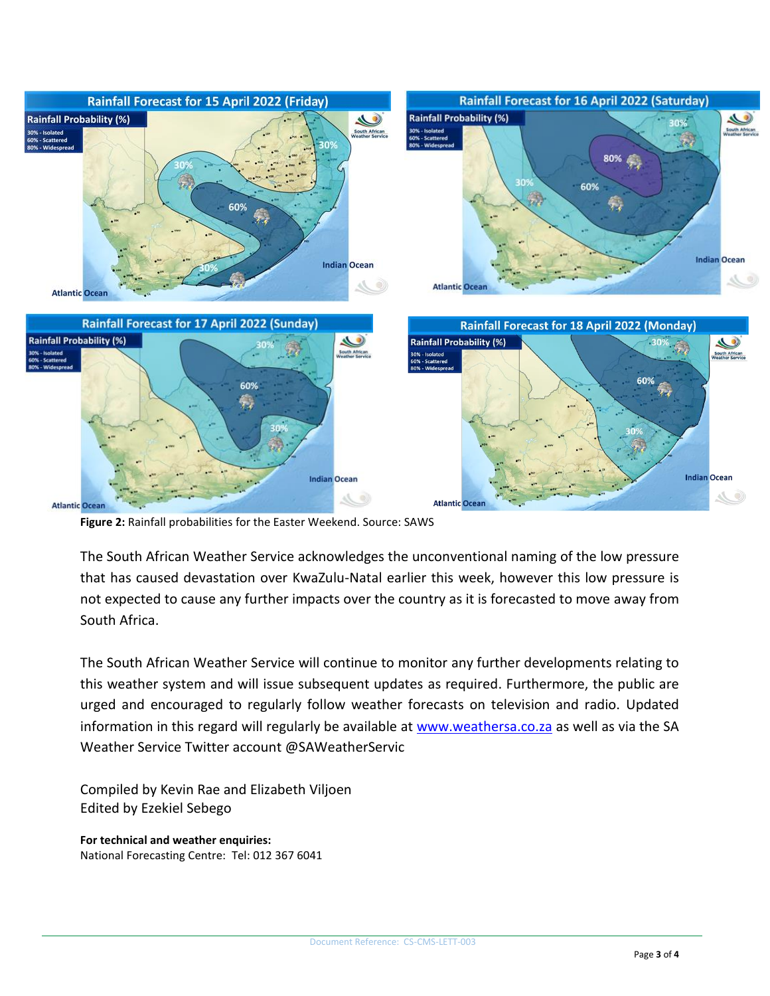

**Figure 2:** Rainfall probabilities for the Easter Weekend. Source: SAWS

The South African Weather Service acknowledges the unconventional naming of the low pressure that has caused devastation over KwaZulu-Natal earlier this week, however this low pressure is not expected to cause any further impacts over the country as it is forecasted to move away from South Africa.

The South African Weather Service will continue to monitor any further developments relating to this weather system and will issue subsequent updates as required. Furthermore, the public are urged and encouraged to regularly follow weather forecasts on television and radio. Updated information in this regard will regularly be available at [www.weathersa.co.za](https://webmail.weathersa.co.za/owa/redir.aspx?C=Rxd_ewTbJ0CSmiK4Xgzz-QR38l6kOdEIZyRqfTUqme3PZczrcy0FrLZFByIU_H1t5xMtzqMmomo.&URL=https%3a%2f%2fwebmail.weathersa.co.za%2fowa%2fredir.aspx%3fC%3dQtBNxGQT9kCEhKKEOhYMdCCIhLdjyNAIuUOTO2oRd_7A1xQJGoMtCvfgKSU2ZzkIm--0etFSY74.%26URL%3dhttp%253a%252f%252fwww.weathersa.co.za) as well as via the SA Weather Service Twitter account @SAWeatherServic

Compiled by Kevin Rae and Elizabeth Viljoen Edited by Ezekiel Sebego

**For technical and weather enquiries:** National Forecasting Centre: Tel: 012 367 6041